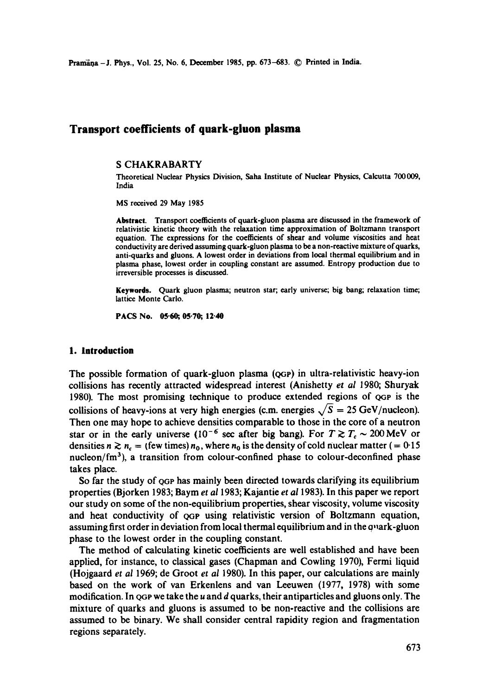Pramana - J. Phys., Vol. 25, No. 6, December 1985, pp. 673-683. © Printed in India.

# **Transport coefficients of quark-gluon plasma**

#### **S** CHAKRABARTY

Theoretical Nuclear Physics Division, Saba Institute of Nuclear Physics, Calcutta 700009, India

MS received 29 May 1985

**Abstract.** Transport coefficients of quark-gluon plasma are discussed in the framework of relativistic kinetic theory with the relaxation time approximation of Boltzmann transport equation. The expressions for the coefficients of shear and volume viscosities and heat conductivity are derived assuming quark-gluon plasma to be a non-reactive mixture of quarks, anti-quarks and gluons. A lowest order in deviations from local thermal equilibrium and in plasma phase, lowest order in coupling constant are assumed. Entropy production due to irreversible processes is discussed.

**Keywords.** Quark gluon plasma; neutron star; early universe; big bang; relaxation time; lattice Monte Carlo.

PACS No. 05-60, 05.70, 12.40

#### **1. Introduction**

The possible formation of quark-gluon plasma (QGp) in ultra-relativistic heavy-ion collisions has recently attracted widespread interest (Anishetty *et al* 1980; Shuryak 1980). The most promising technique to produce extended regions of QGp is the collisions of heavy-ions at very high energies (c.m. energies  $\sqrt{S} = 25$  GeV/nucleon). Then one may hope to achieve densities comparable to those in the core of a neutron star or in the early universe (10<sup>-6</sup> sec after big bang). For  $T \gtrsim T_c \sim 200 \text{ MeV}$  or densities  $n \gtrsim n_c$  = (few times)  $n_0$ , where  $n_0$  is the density of cold nuclear matter (= 0.15) nucleon/ $\text{fm}^3$ ), a transition from colour-confined phase to colour-deconfined phase takes place.

So far the study of QGP has mainly been directed towards clarifying its equilibrium properties (Bjorken 1983; Baym *et a11983;* Kajantie *et a11983).* In this paper we report our study on some of the non-equilibrium properties, shear viscosity, volume viscosity and heat conductivity of QGP using relativistic version of Boltzmann equation, assuming first order in deviation from local thermal equilibrium and in the quark-gluon phase to the lowest order in the coupling constant.

The method of calculating kinetic coefficients are well established and have been applied, for instance, to classical gases (Chapman and Cowling 1970), Fermi liquid (Hojgaard *et al* 1969; de Groot *et al* 1980). In this paper, our calculations are mainly based on the work of van Erkenlens and van Leeuwen (1977, 1978) with some modification. In  $\phi$ GP we take the u and d quarks, their antiparticles and gluons only. The mixture of quarks and gluons is assumed to be non-reactive and the collisions are assumed to be binary. We shall consider central rapidity region and fragmentation regions separately.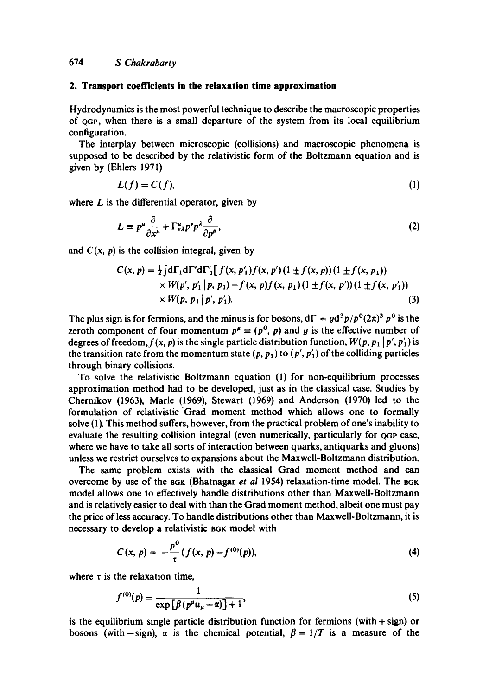# **2. Transport coefficients in the relaxation time approximation**

Hydrodynamics is the most powerful technique to describe the macroscopic properties of QOe, when there is a small departure of the system from its local equilibrium configuration.

The interplay between microscopic (collisions) and macroscopic phenomena is supposed to be described by the relativistic form of the Boltzmann equation and is given by (Ehlers 1971)

$$
L(f) = C(f),\tag{1}
$$

where  $L$  is the differential operator, given by

$$
L \equiv p^{\mu} \frac{\partial}{\partial x^{\mu}} + \Gamma^{\mu}_{\nu \lambda} p^{\nu} p^{\lambda} \frac{\partial}{\partial p^{\mu}}, \tag{2}
$$

and  $C(x, p)$  is the collision integral, given by

$$
C(x, p) = \frac{1}{2} \int d\Gamma_1 d\Gamma' d\Gamma'_{1} [f(x, p'_1) f(x, p')(1 \pm f(x, p)) (1 \pm f(x, p_1))
$$
  
×  $W(p', p'_1 | p, p_1) - f(x, p) f(x, p_1) (1 \pm f(x, p')) (1 \pm f(x, p'_1))$   
×  $W(p, p_1 | p', p'_1).$  (3)

The plus sign is for fermions, and the minus is for bosons,  $d\Gamma = gd^3p/p^0(2\pi)^3 p^0$  is the zeroth component of four momentum  $p^{\mu} \equiv (p^0, p)$  and g is the effective number of degrees of freedom,  $f(x, p)$  is the single particle distribution function,  $W(p, p_1 | p', p'_1)$  is the transition rate from the momentum state  $(p, p_1)$  to  $(p', p'_1)$  of the colliding particles through binary collisions.

To solve the relativistic Boltzmann equation (1) for non-equilibrium processes approximation method had to be developed, just as in the classical case. Studies by Chernikov (1963), Marie (1969), Stewart (1969) and Anderson (1970) led to the formulation of relativistic Grad moment method which allows one to formally solve (1). This method suffers, however, from the practical problem of one's inability to evaluate the resulting collision integral (even numerically, particularly for  $_{QGP}$  case, where we have to take all sorts of interaction between quarks, antiquarks and gluons) unless we restrict ourselves to expansions about the Maxwell-Boltzmann distribution.

The same problem exists with the classical Grad moment method and can overcome by use of the sGK (Bhatnagar *et al* 1954) relaxation-time model. The BGK model allows one to effectively handle distributions other than Maxwell-Boltzmann and is relatively easier to deal with than the Grad moment method, albeit one must pay the price of less accuracy. To handle distributions other than Maxwell-Boltzmann, it is necessary to develop a relativistic BGK model with

$$
C(x, p) = -\frac{p^0}{\tau} (f(x, p) - f^{(0)}(p)),
$$
\n(4)

where  $\tau$  is the relaxation time,

$$
f^{(0)}(p) = \frac{1}{\exp\left[\beta\left(p^{\mu}u_{\mu} - \alpha\right)\right] + 1},\tag{5}
$$

is the equilibrium single particle distribution function for fermions (with  $+$  sign) or bosons (with-sign),  $\alpha$  is the chemical potential,  $\beta = 1/T$  is a measure of the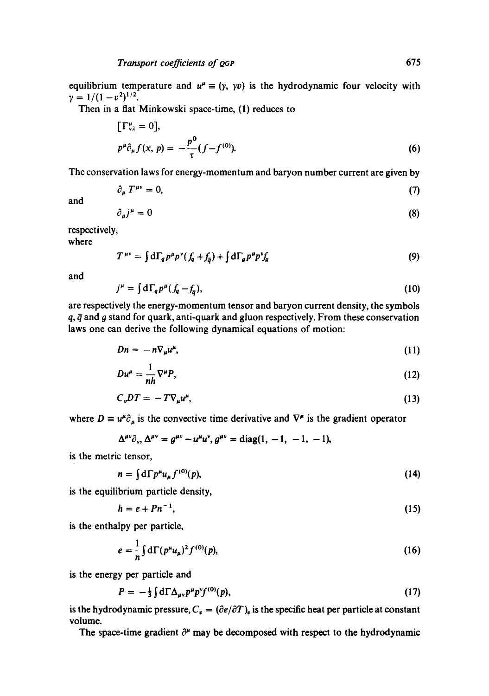equilibrium temperature and  $u^{\mu} \equiv (\gamma, \gamma \nu)$  is the hydrodynamic four velocity with  $\gamma = 1/(1 - v^2)^{1/2}.$ 

Then in a flat Minkowski space-time, (1) reduces to

$$
[\Gamma^{\mu}_{\nu\lambda} = 0],
$$
  
\n
$$
p^{\mu}\partial_{\mu}f(x, p) = -\frac{p^0}{\tau}(f - f^{(0)}).
$$
\n(6)

The conservation laws for energy-momentum and baryon number current are given by

$$
\partial_{\mu} T^{\mu\nu} = 0, \tag{7}
$$

and

$$
\partial_{\mu}j^{\mu} = 0 \tag{8}
$$

respectively,

where

$$
T^{\mu\nu} = \int d\Gamma_q p^\mu p^\nu (f_q + f_{\overline{q}}) + \int d\Gamma_q p^\mu p^\nu f_q \tag{9}
$$

and

$$
j^{\mu} = \int d\Gamma_q p^{\mu} (f_q - f_{\overline{q}}), \qquad (10)
$$

are respectively the energy-momentum tensor and baryon current density, the symbols  $q$ ,  $\bar{q}$  and  $q$  stand for quark, anti-quark and gluon respectively. From these conservation laws one can derive the following dynamical equations of motion:

$$
Dn = -n\nabla_{\mu}u^{\mu}, \qquad (11)
$$

$$
Du^{\mu} = \frac{1}{nh} \nabla^{\mu} P, \tag{12}
$$

$$
C_vDT = -TV_{\mu}u^{\mu}, \qquad (13)
$$

where  $D \equiv u^{\mu} \partial_{\mu}$  is the convective time derivative and  $\nabla^{\mu}$  is the gradient operator

$$
\Delta^{\mu\nu}\partial_{\nu}, \Delta^{\mu\nu} = g^{\mu\nu} - u^{\mu}u^{\nu}, g^{\mu\nu} = \text{diag}(1, -1, -1, -1),
$$

is the metric tensor,

$$
n = \int d\Gamma p^{\mu} u_{\mu} f^{(0)}(p), \qquad (14)
$$

is the equilibrium particle density,

$$
h = e + P n^{-1},\tag{15}
$$

is the enthalpy per particle,

$$
e = \frac{1}{n} \int d\Gamma (p^{\mu} u_{\mu})^2 f^{(0)}(p), \qquad (16)
$$

is the energy per particle and

$$
P = -\frac{1}{3} \int d\Gamma \Delta_{\mu\nu} p^{\mu} p^{\nu} f^{(0)}(p), \qquad (17)
$$

is the hydrodynamic pressure,  $C_v = (\partial e/\partial T)_v$  is the specific heat per particle at constant volume.

The space-time gradient  $\partial^{\mu}$  may be decomposed with respect to the hydrodynamic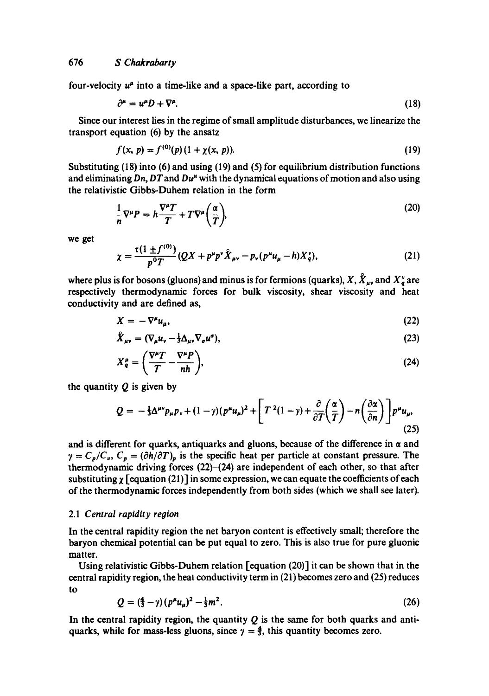four-velocity  $u^{\mu}$  into a time-like and a space-like part, according to

$$
\partial^{\mu} = u^{\mu}D + \nabla^{\mu}.
$$
 (18)

Since our interest lies in the regime of small amplitude disturbances, we linearize the transport equation (6) by the ansatz

$$
f(x, p) = f^{(0)}(p) (1 + \chi(x, p)).
$$
 (19)

Substituting (18) into (6) and using (19) and (5) for equilibrium distribution functions and eliminating  $Dn$ ,  $DT$  and  $Du^{\mu}$  with the dynamical equations of motion and also using the relativistic Gibbs-Duhem relation in the form

$$
\frac{1}{n}\nabla^{\mu}P = h\frac{\nabla^{\mu}T}{T} + T\nabla^{\mu}\left(\frac{\alpha}{T}\right),\tag{20}
$$

**we get** 

$$
\chi = \frac{\tau (1 \pm f^{(0)})}{p^0 T} (QX + p^{\mu} p^{\nu} \hat{X}_{\mu\nu} - p_{\nu} (p^{\mu} u_{\mu} - h) X^{\nu}_q), \tag{21}
$$

where plus is for bosons (gluons) and minus is for fermions (quarks),  $X, \hat{X}_{\mu\nu}$  and  $X^{\nu}_{q}$  are respectively thermodynamic forces for bulk viscosity, shear viscosity and heat conductivity and are defined as,

$$
X = -\nabla^{\mu} u_{\mu},\tag{22}
$$

$$
\hat{X}_{\mu\nu} = (\nabla_{\mu} u_{\nu} - \frac{1}{3} \Delta_{\mu\nu} \nabla_{\sigma} u^{\sigma}), \qquad (23)
$$

$$
X_q^{\mu} = \left(\frac{\nabla^{\mu}T}{T} - \frac{\nabla^{\mu}P}{nh}\right),\tag{24}
$$

**the quantity Q is given by** 

$$
Q = -\frac{1}{3}\Delta^{\mu\nu}p_{\mu}p_{\nu} + (1-\gamma)(p^{\mu}u_{\mu})^2 + \left[T^2(1-\gamma) + \frac{\partial}{\partial T}\left(\frac{\alpha}{T}\right) - n\left(\frac{\partial\alpha}{\partial n}\right)\right]p^{\mu}u_{\mu},\tag{25}
$$

and is different for quarks, antiquarks and gluons, because of the difference in  $\alpha$  and  $\gamma = C_p/C_v$ ,  $C_p = (\partial h/\partial T)_p$  is the specific heat per particle at constant pressure. The thermodynamic driving forces (22)-(24) are independent of each other, so that after substituting  $\chi$  [equation (21)] in some expression, we can equate the coefficients of each of the thermodynamic forces independently from both sides (which we shall see later).

#### *2.1 Central rapidity region*

In the central rapidity region the net baryon content is effectively small; therefore the baryon chemical potential can be put equal to zero. This is also true for pure gluonic matter.

Using relativistic Gibbs-Duhem relation [equation (20)] it can be shown that in the central rapidity region, the heat conductivity term in (21) becomes zero and (25) reduces to

$$
Q = (\frac{4}{3} - \gamma)(p^{\mu}u_{\mu})^2 - \frac{1}{3}m^2. \tag{26}
$$

In the central rapidity region, the quantity  $Q$  is the same for both quarks and antiquarks, while for mass-less gluons, since  $\gamma = \frac{4}{3}$ , this quantity becomes zero.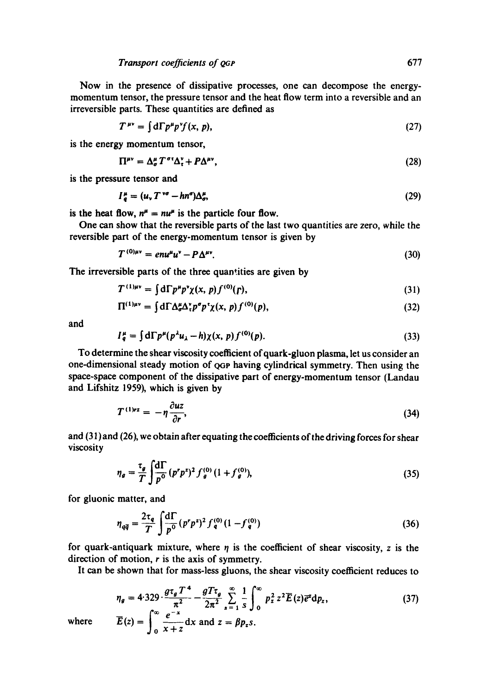**Transport coefficients of QGP** 677

Now in the presence of dissipative processes, one can decompose the energymomentum tensor, the pressure tensor and the heat flow term into a reversible and an irreversible parts. These quantities are defined as

$$
T^{\mu\nu} = \int d\Gamma p^{\mu} p^{\nu} f(x, p), \qquad (27)
$$

is the energy momentum tensor,

$$
\Pi^{\mu\nu} = \Delta^{\mu}_{\sigma} T^{\sigma \tau} \Delta^{\nu}_{\tau} + P \Delta^{\mu \nu}, \qquad (28)
$$

is the pressure tensor and

$$
I_a^{\mu} = (u_v T^{\nu\sigma} - h n^{\sigma}) \Delta_a^{\mu}, \tag{29}
$$

is the heat flow,  $n^{\mu} = nu^{\mu}$  is the particle four flow.

One can show that the reversible parts of the last two quantities are zero, while the reversible part of the energy-momentum tensor is given by

$$
T^{(0)\mu\nu} = e n u^{\mu} u^{\nu} - P \Delta^{\mu\nu}.
$$
 (30)

The irreversible parts of the three quantities are given by

$$
T^{(1)\mu\nu} = \int d\Gamma p^{\mu} p^{\nu} \chi(x, p) f^{(0)}(r), \qquad (31)
$$

$$
\Pi^{(1)\mu\nu} = \int d\Gamma \Delta^{\mu}_{\sigma} \Delta^{\nu}_{\tau} p^{\sigma} p^{\tau} \chi(x, p) f^{(0)}(p), \qquad (32)
$$

and

$$
I_q^{\mu} = \int d\Gamma p^{\mu} (p^{\lambda} u_{\lambda} - h) \chi(x, p) f^{(0)}(p). \tag{33}
$$

To determine the shear viscosity coefficient ofquark-gluon plasma, let us consider an one-dimensional steady motion of QGp having cylindrical symmetry. Then using the space-space component of the dissipative part of energy-momentum tensor (Landau and Lifshitz 1959), which is given by

$$
T^{(1)rz} = -\eta \frac{\partial uz}{\partial r},\tag{34}
$$

and (31) and (26), we obtain after equating the coefficients of the driving forces for shear viscosity

$$
\eta_g = \frac{\tau_g}{T} \int \frac{d\Gamma}{p^0} (p^r p^z)^2 f_g^{(0)} (1 + f_g^{(0)}), \tag{35}
$$

for gluonic matter, and

*?o* X+2

$$
\eta_{q\bar{q}} = \frac{2\tau_q}{T} \int \frac{d\Gamma}{p^0} (p^r p^z)^2 f_q^{(0)} (1 - f_q^{(0)}) \tag{36}
$$

for quark-antiquark mixture, where  $\eta$  is the coefficient of shear viscosity, z is the direction of motion, r is the axis of symmetry.

It can be shown that for mass-less gluons, the shear viscosity coefficient reduces to

$$
\eta_g = 4.329 \cdot \frac{g\tau_g T^4}{\pi^2} - \frac{gT\tau_g}{2\pi^2} \sum_{s=1}^{\infty} \frac{1}{s} \int_0^{\infty} p_z^2 z^2 \overline{E}(z) \overline{e}^z dp_z, \qquad (37)
$$

where  $\overline{E}(z) = \begin{vmatrix} z & -1 \\ 0 & z \end{vmatrix}$  and  $z = \beta p_z s$ .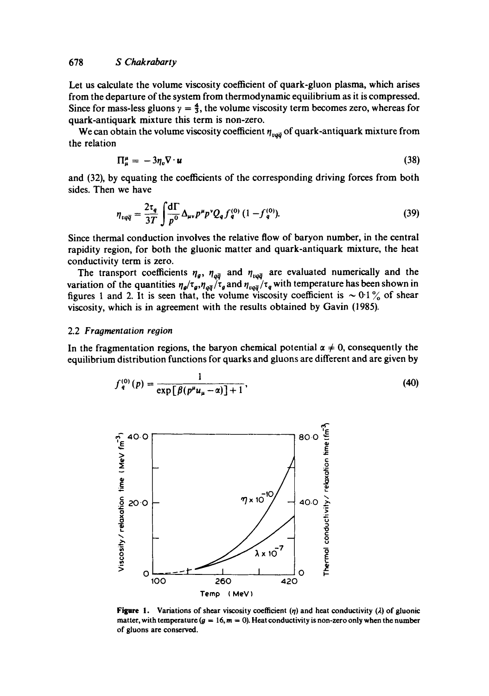Let us calculate the volume viscosity coefficient of quark-gluon plasma, which arises from the departure of the system from thermodynamic equilibrium as it is compressed. Since for mass-less gluons  $\gamma = \frac{4}{3}$ , the volume viscosity term becomes zero, whereas for quark-antiquark mixture this term is non-zero.

We can obtain the volume viscosity coefficient  $\eta_{\nu q\bar{q}}$  of quark-antiquark mixture from the relation

$$
\Pi^{\mu}_{\mu} = -3\eta_{\nu}\nabla \cdot \boldsymbol{u} \tag{38}
$$

and (32), by equating the coefficients of the corresponding driving forces from both sides. Then we have

$$
\eta_{vq\bar{q}} = \frac{2\tau_q}{3T} \int \frac{d\Gamma}{p^0} \Delta_{\mu\nu} p^{\mu} p^{\nu} Q_q f_q^{(0)} (1 - f_q^{(0)}).
$$
 (39)

Since thermal conduction involves the relative flow of baryon number, in the central rapidity region, for both the gluonic matter and quark-antiquark mixture, the heat conductivity term is zero.

The transport coefficients  $\eta_a$ ,  $\eta_{a\bar{a}}$  and  $\eta_{\mu a\bar{a}}$  are evaluated numerically and the variation of the quantities  $\eta_{\rho}/\tau_{q}$ ,  $\eta_{q\bar{q}}/\tau_{q}$  and  $\eta_{\rho q\bar{q}}/\tau_{q}$  with temperature has been shown in figures 1 and 2. It is seen that, the volume viscosity coefficient is  $\sim 0.1\%$  of shear viscosity, which is in agreement with the results obtained by Gavin (1985).

# 2.2 *Fragmentation region*

In the fragmentation regions, the baryon chemical potential  $\alpha \neq 0$ , consequently the equilibrium distribution functions for quarks and gluons are different and are given by

$$
f_q^{(0)}(p) = \frac{1}{\exp[\beta(p^{\mu}u_{\mu} - \alpha)] + 1},
$$
\n(40)



**Figure 1.** Variations of shear viscosity coefficient (n) and heat conductivity ( $\lambda$ ) of gluonic matter, with temperature  $(g = 16, m = 0)$ . Heat conductivity is non-zero only when the number **of gluons are conserved.**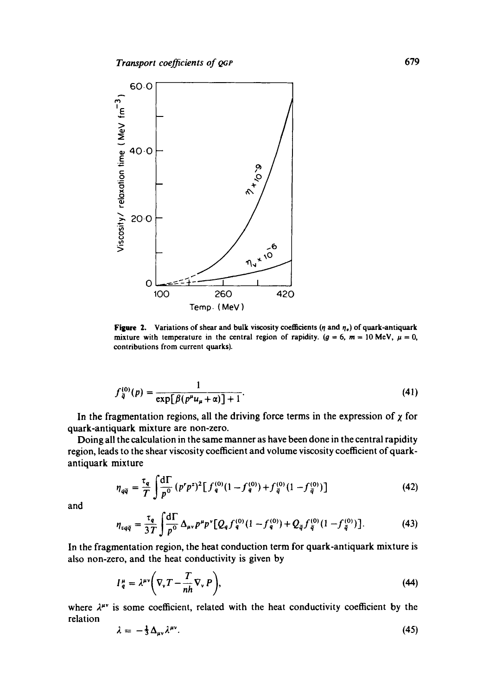

**Figure 2.** Variations of shear and bulk viscosity coefficients ( $\eta$  and  $\eta_e$ ) of quark-antiquark mixture with temperature in the central region of rapidity. ( $g = 6$ ,  $m = 10$  MeV,  $\mu = 0$ , contributions from current quarks).

$$
f_{\bar{q}}^{(0)}(p) = \frac{1}{\exp[\beta(p^{\mu}u_{\mu} + \alpha)] + 1}.
$$
 (41)

In the fragmentation regions, all the driving force terms in the expression of  $\chi$  for quark-antiquark mixture are non-zero.

Doing all the calculation in the same manner as have been done in the central rapidity region, leads to the shear viscosity coefficient and volume viscosity coefficient of quarkantiquark mixture

$$
\eta_{q\bar{q}} = \frac{\tau_q}{T} \int \frac{d\Gamma}{p^0} (p^r p^z)^2 \left[ f_q^{(0)} (1 - f_q^{(0)}) + f_{\bar{q}}^{(0)} (1 - f_{\bar{q}}^{(0)}) \right]
$$
(42)

and

$$
\eta_{vq\bar{q}} = \frac{\tau_q}{3T} \int \frac{d\Gamma}{p^0} \Delta_{\mu\nu} p^{\mu} p^{\nu} [Q_q f_q^{(0)} (1 - f_q^{(0)}) + Q_{\bar{q}} f_{\bar{q}}^{(0)} (1 - f_{\bar{q}}^{(0)})]. \tag{43}
$$

In the fragmentation region, the heat conduction term for quark-antiquark mixture is also non-zero, and the heat conductivity is given by

$$
I_q^{\mu} = \lambda^{\mu\nu} \bigg( \nabla_{\nu} T - \frac{T}{nh} \nabla_{\nu} P \bigg), \tag{44}
$$

where  $\lambda^{\mu\nu}$  is some coefficient, related with the heat conductivity coefficient by the relation

$$
\lambda = -\frac{1}{3} \Delta_{\mu\nu} \lambda^{\mu\nu}.
$$
 (45)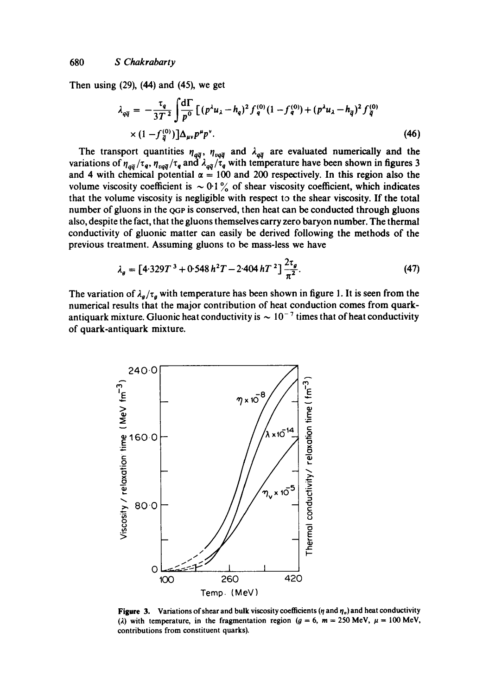**Then using (29), (44) and (45), we get** 

$$
\lambda_{q\bar{q}} = -\frac{\tau_q}{3T^2} \int \frac{d\Gamma}{p^0} \left[ (p^{\lambda} u_{\lambda} - h_q)^2 f_q^{(0)} (1 - f_q^{(0)}) + (p^{\lambda} u_{\lambda} - h_{\bar{q}})^2 f_{\bar{q}}^{(0)} \right] \times (1 - f_q^{(0)}) \right] \Delta_{\mu\nu} p^{\mu} p^{\nu}.
$$
\n(46)

The transport quantities  $\eta_{a\bar{a}}$ ,  $\eta_{v\bar{a}\bar{a}}$  and  $\lambda_{a\bar{a}}$  are evaluated numerically and the variations of  $\eta_{q\bar{q}}/\tau_q$ ,  $\eta_{p\bar{q}}/\tau_q$  and  $\lambda_{q\bar{q}}/\tau_q$  with temperature have been shown in figures 3 and 4 with chemical potential  $\alpha = 100$  and 200 respectively. In this region also the volume viscosity coefficient is  $\sim 0.1\%$  of shear viscosity coefficient, which indicates **that the volume viscosity is negligible with respect to the shear viscosity. If the total**  number of gluons in the <sub>QGP</sub> is conserved, then heat can be conducted through gluons **also, despite the fact, that the gluons themselves carry zero baryon number. The thermal conductivity of gluonic matter can easily be derived following the methods of the previous treatment. Assuming gluons to be mass-less we have** 

$$
\lambda_g = \left[4.329T^3 + 0.548h^2T - 2.404hT^2\right] \frac{2\tau_g}{\pi^2}.
$$
 (47)

The variation of  $\lambda_g/\tau_g$  with temperature has been shown in figure 1. It is seen from the **numerical results that the major contribution of heat conduction comes from quark**antiquark mixture. Gluonic heat conductivity is  $\sim 10^{-7}$  times that of heat conductivity **of quark-antiquark mixture.** 



**Figure 3.** Variations of shear and bulk viscosity coefficients ( $\eta$  and  $\eta_p$ ) and heat conductivity ( $\lambda$ ) with temperature, in the fragmentation region ( $g = 6$ ,  $m = 250$  MeV,  $\mu = 100$  MeV, **contributions from constituent quarks).**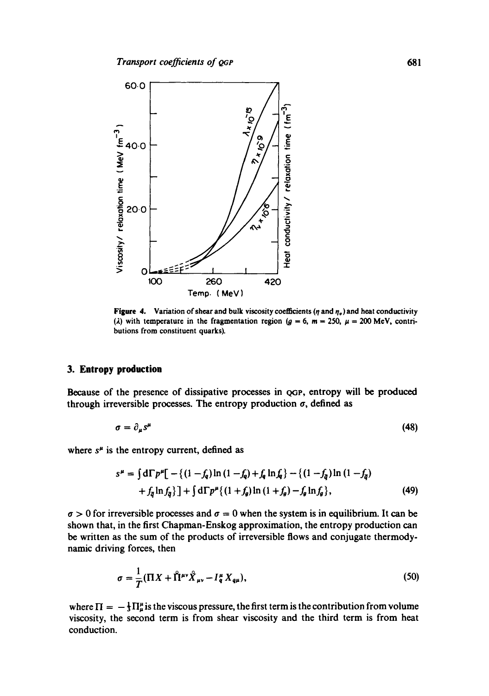

**Figure 4.** Variation of shear and bulk viscosity coefficients ( $\eta$  and  $\eta_o$ ) and heat conductivity (*i*) with temperature in the fragmentation region ( $g = 6$ ,  $m = 250$ ,  $\mu = 200$  MeV, contri**butions** from constituent **quarks).** 

#### **3. Entropy production**

Because of the presence of dissipative processes in  $_{QGP}$ , entropy will be produced through irreversible processes. The entropy production  $\sigma$ , defined as

$$
\sigma = \partial_{\mu} s^{\mu} \tag{48}
$$

where  $s^{\mu}$  is the entropy current, defined as

$$
s^{\mu} = \int d\Gamma p^{\mu} \left[ -\left\{ (1 - f_q) \ln (1 - f_q) + f_q \ln f_q \right\} - \left\{ (1 - f_q) \ln (1 - f_q) \right. \right.+ f_q \ln f_q \right\} \left] + \int d\Gamma p^{\mu} \left\{ (1 + f_\theta) \ln (1 + f_\theta) - f_\theta \ln f_\theta \right\},
$$
(49)

 $\sigma > 0$  for irreversible processes and  $\sigma = 0$  when the system is in equilibrium. It can be shown that, in the first Chapman-Enskog approximation, the entropy production can be written as the sum of the products of irreversible flows and conjugate thermodynamic driving forces, then

$$
\sigma = \frac{1}{T} (\Pi X + \hat{\Pi}^{\mu\nu} \hat{X}_{\mu\nu} - I_q^{\mu} X_{q\mu}),
$$
\n(50)

where  $\Pi = -\frac{1}{3}\Pi_{\mu}^{\mu}$  is the viscous pressure, the first term is the contribution from volume viscosity, the second term is from shear viscosity and the third term is from heat conduction.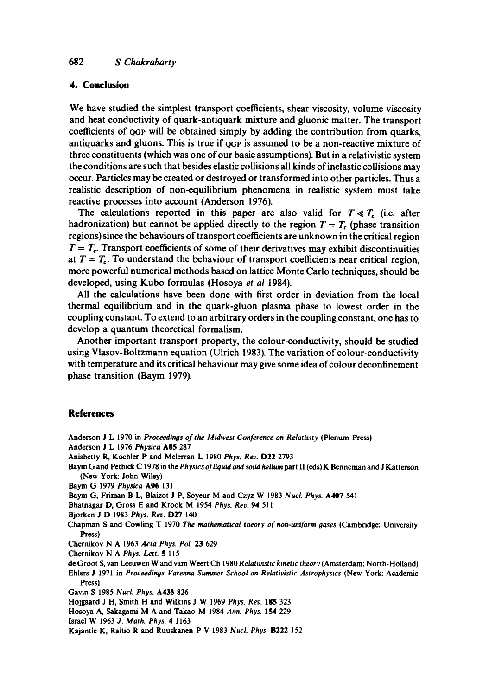# **4. Conclusion**

We have studied the simplest transport coefficients, shear viscosity, volume viscosity and heat conductivity of quark-antiquark mixture and gluonic matter. The transport coefficients of QOP will be obtained simply by adding the contribution from quarks, antiquarks and gluons. This is true if QoP is assumed to be a non-reactive mixture of three constituents (which was one of our basic assumptions). But in a relativistic system the conditions are such that besides elastic collisions all kinds of inelastic collisions may occur. Particles may be created or destroyed or transformed into other particles. Thus a realistic description of non-equilibrium phenomena in realistic system must take reactive processes into account (Anderson 1976).

The calculations reported in this paper are also valid for  $T \ll T_c$  (i.e. after hadronization) but cannot be applied directly to the region  $T = T_c$  (phase transition regions) since the behaviours of transport coefficients are unknown in the critical region  $T = T<sub>c</sub>$ . Transport coefficients of some of their derivatives may exhibit discontinuities at  $T = T_c$ . To understand the behaviour of transport coefficients near critical region, more powerful numerical methods based on lattice Monte Carlo techniques, should be developed, using Kubo formulas (Hosoya *et al* 1984).

All the calculations have been done with first order in deviation from the local thermal equilibrium and in the quark-gluon plasma phase to lowest order in the coupling constant. To extend to an arbitrary orders in the coupling constant, one has to develop a quantum theoretical formalism.

Another important transport property, the colour-conductivity, should be studied using Vlasov-Boltzmann equation (Ulrich 1983). The variation of colour-conductivity with temperature and its critical behaviour may give some idea of colour deconfinement phase transition (Baym 1979).

# **References**

Anderson J L 1970 in *Proceedings of the Midwest Conference on Relativity* (Plenum Press) Anderson J L 1976 *Physica* ASS 287 Anishetty R, Koehler P and Melerran L 1980 *Phys. Rev.* D22 2793 Baym G and Pethick C 1978 in the *Physics of liquid and solid helium* part II (eds) K Bennernan and J Katterson (New York: John Wiley) Baym (3 1979 *Physica* A96 131 Baym (3, Friman B L, Blaizot J P, Soyeur M and Czyz W 1983 *Nucl. Phys.* A407 541 Bhatnagar D, Gross E and Krook M 1954 *Phys. Rev.* 94 511 Bjorken J D 1983 *Phys. Rev.* D27 140 Chapman S and Cowling T 1970 The *mathematical theory of non-uniform oases* (Cambridge: University Press) Chernikov N A 1963 *Acta Phys. Pol.* 23 629 Chernikov N A *Phys.* Lett. 5 115 de (3root S, van Leeuwen W and vain Weert Ch 1980 *Relativistic kinetic theory* (Amsterdam: North-Holland) Ehlers J 1971 in *Proceedings Varenna Summer School on Relativistic Astrophysics* (New York: Academic Press) Gavin S 1985 *Nucl. Phys.* A435 826 Hojgaard J H, Smith H and Wilkins J W 1969 *Phys. Rev.* 185 323 Hosoya A, Sakagami M A and Takao M 1984 *Ann. Phys.* 154 229 Israel W 1963 *J. Math. Phys.* 4 1163 Kajantie K, Raitio R and Ruuskanen P V 1983 *Nucl. Phys.* B222 152